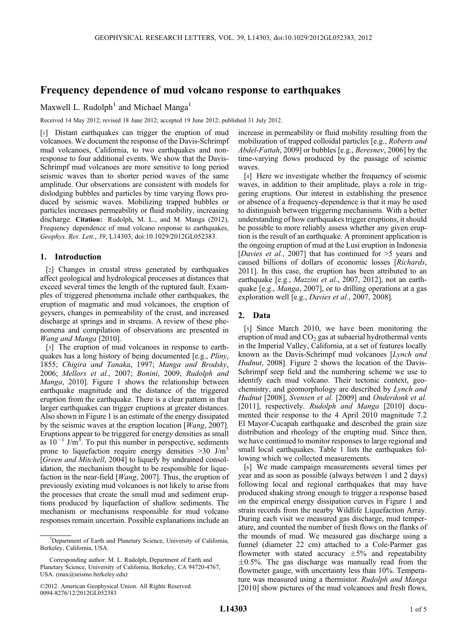# Frequency dependence of mud volcano response to earthquakes

Maxwell L. Rudolph<sup>1</sup> and Michael Manga<sup>1</sup>

Received 14 May 2012; revised 18 June 2012; accepted 19 June 2012; published 31 July 2012.

[1] Distant earthquakes can trigger the eruption of mud volcanoes. We document the response of the Davis-Schrimpf mud volcanoes, California, to two earthquakes and nonresponse to four additional events. We show that the Davis-Schrimpf mud volcanoes are more sensitive to long period seismic waves than to shorter period waves of the same amplitude. Our observations are consistent with models for dislodging bubbles and particles by time varying flows produced by seismic waves. Mobilizing trapped bubbles or particles increases permeability or fluid mobility, increasing discharge. Citation: Rudolph, M. L., and M. Manga (2012), Frequency dependence of mud volcano response to earthquakes, Geophys. Res. Lett., 39, L14303, doi:10.1029/2012GL052383.

### 1. Introduction

[2] Changes in crustal stress generated by earthquakes affect geological and hydrological processes at distances that exceed several times the length of the ruptured fault. Examples of triggered phenomena include other earthquakes, the eruption of magmatic and mud volcanoes, the eruption of geysers, changes in permeability of the crust, and increased discharge at springs and in streams. A review of these phenomena and compilation of observations are presented in Wang and Manga [2010].

[3] The eruption of mud volcanoes in response to earthquakes has a long history of being documented [e.g., Pliny, 1855; Chigira and Tanaka, 1997; Manga and Brodsky, 2006; Mellors et al., 2007; Bonini, 2009; Rudolph and Manga, 2010]. Figure 1 shows the relationship between earthquake magnitude and the distance of the triggered eruption from the earthquake. There is a clear pattern in that larger earthquakes can trigger eruptions at greater distances. Also shown in Figure 1 is an estimate of the energy dissipated by the seismic waves at the eruption location [Wang, 2007]. Eruptions appear to be triggered for energy densities as small as  $10^{-1}$  J/m<sup>3</sup>. To put this number in perspective, sediments prone to liquefaction require energy densities  $>30$  J/m<sup>3</sup> [Green and Mitchell, 2004] to liquefy by undrained consolidation, the mechanism thought to be responsible for liquefaction in the near-field  $[Wang, 2007]$ . Thus, the eruption of previously existing mud volcanoes is not likely to arise from the processes that create the small mud and sediment eruptions produced by liquefaction of shallow sediments. The mechanism or mechanisms responsible for mud volcano responses remain uncertain. Possible explanations include an

increase in permeability or fluid mobility resulting from the mobilization of trapped colloidal particles [e.g., Roberts and Abdel-Fattah, 2009] or bubbles [e.g., Beresnev, 2006] by the time-varying flows produced by the passage of seismic waves.

[4] Here we investigate whether the frequency of seismic waves, in addition to their amplitude, plays a role in triggering eruptions. Our interest in establishing the presence or absence of a frequency-dependence is that it may be used to distinguish between triggering mechanisms. With a better understanding of how earthquakes trigger eruptions, it should be possible to more reliably assess whether any given eruption is the result of an earthquake. A prominent application is the ongoing eruption of mud at the Lusi eruption in Indonesia [Davies et al., 2007] that has continued for >5 years and caused billions of dollars of economic losses [Richards, 2011]. In this case, the eruption has been attributed to an earthquake [e.g., *Mazzini et al.*, 2007, 2012], not an earthquake [e.g., *Manga*, 2007], or to drilling operations at a gas exploration well [e.g., Davies et al., 2007, 2008].

## 2. Data

[5] Since March 2010, we have been monitoring the eruption of mud and  $CO<sub>2</sub>$  gas at subaerial hydrothermal vents in the Imperial Valley, California, at a set of features locally known as the Davis-Schrimpf mud volcanoes [Lynch and Hudnut, 2008]. Figure 2 shows the location of the Davis-Schrimpf seep field and the numbering scheme we use to identify each mud volcano. Their tectonic context, geochemistry, and geomorphology are described by Lynch and Hudnut [2008], Svensen et al. [2009] and Onderdonk et al. [2011], respectively. Rudolph and Manga [2010] documented their response to the 4 April 2010 magnitude 7.2 El Mayor-Cucapah earthquake and described the grain size distribution and rheology of the erupting mud. Since then, we have continued to monitor responses to large regional and small local earthquakes. Table 1 lists the earthquakes following which we collected measurements.

[6] We made campaign measurements several times per year and as soon as possible (always between 1 and 2 days) following local and regional earthquakes that may have produced shaking strong enough to trigger a response based on the empirical energy dissipation curves in Figure 1 and strain records from the nearby Wildlife Liquefaction Array. During each visit we measured gas discharge, mud temperature, and counted the number of fresh flows on the flanks of the mounds of mud. We measured gas discharge using a funnel (diameter 22 cm) attached to a Cole-Parmer gas flowmeter with stated accuracy  $\pm 5\%$  and repeatability  $\pm 0.5$ %. The gas discharge was manually read from the flowmeter gauge, with uncertainty less than 10%. Temperature was measured using a thermistor. Rudolph and Manga [2010] show pictures of the mud volcanoes and fresh flows,

<sup>&</sup>lt;sup>1</sup>Department of Earth and Planetary Science, University of California, Berkeley, California, USA.

Corresponding author: M. L. Rudolph, Department of Earth and Planetary Science, University of California, Berkeley, CA 94720-4767, USA. (max@seismo.berkeley.edu)

<sup>©2012.</sup> American Geophysical Union. All Rights Reserved. 0094-8276/12/2012GL052383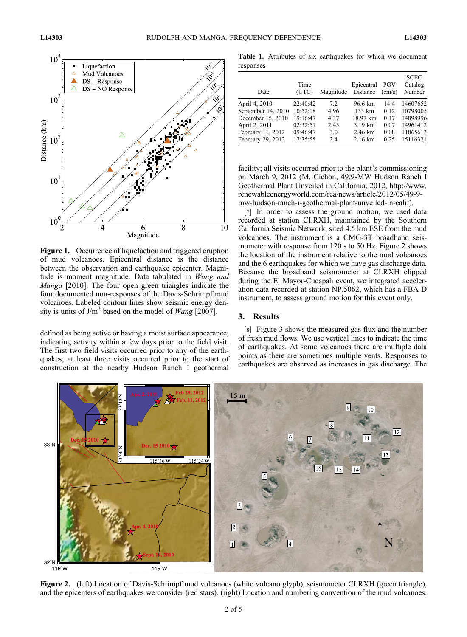

Figure 1. Occurrence of liquefaction and triggered eruption of mud volcanoes. Epicentral distance is the distance between the observation and earthquake epicenter. Magnitude is moment magnitude. Data tabulated in Wang and Manga [2010]. The four open green triangles indicate the four documented non-responses of the Davis-Schrimpf mud volcanoes. Labeled contour lines show seismic energy density is units of  $J/m<sup>3</sup>$  based on the model of *Wang* [2007].

defined as being active or having a moist surface appearance, indicating activity within a few days prior to the field visit. The first two field visits occurred prior to any of the earthquakes; at least three visits occurred prior to the start of construction at the nearby Hudson Ranch I geothermal

Table 1. Attributes of six earthquakes for which we document responses

| Date               | Time<br>(UTC) | Magnitude | Epicentral PGV<br>Distance | $\text{(cm/s)}$ | <b>SCEC</b><br>Catalog<br>Number |
|--------------------|---------------|-----------|----------------------------|-----------------|----------------------------------|
| April 4, 2010      | 22:40:42      | 7.2       | 96.6 km                    | 14.4            | 14607652                         |
| September 14, 2010 | 10:52:18      | 4.96      | $133 \text{ km}$           | 0.12            | 10798005                         |
| December 15, 2010  | 19:16:47      | 4.37      | 18.97 km                   | 0.17            | 14898996                         |
| April 2, 2011      | 02:32:51      | 2.45      | $3.19 \text{ km}$          | 0.07            | 14961412                         |
| February 11, 2012  | 09:46:47      | 3.0       | 2.46 km                    | 0.08            | 11065613                         |
| February 29, 2012  | 17:35:55      | 3.4       | $2.16 \text{ km}$          | 0.25            | 15116321                         |

facility; all visits occurred prior to the plant's commissioning on March 9, 2012 (M. Cichon, 49.9-MW Hudson Ranch I Geothermal Plant Unveiled in California, 2012, http://www. renewableenergyworld.com/rea/news/article/2012/05/49-9 mw-hudson-ranch-i-geothermal-plant-unveiled-in-calif).

[7] In order to assess the ground motion, we used data recorded at station CI.RXH, maintained by the Southern California Seismic Network, sited 4.5 km ESE from the mud volcanoes. The instrument is a CMG-3T broadband seismometer with response from 120 s to 50 Hz. Figure 2 shows the location of the instrument relative to the mud volcanoes and the 6 earthquakes for which we have gas discharge data. Because the broadband seismometer at CI.RXH clipped during the El Mayor-Cucapah event, we integrated acceleration data recorded at station NP.5062, which has a FBA-D instrument, to assess ground motion for this event only.

#### 3. Results

[8] Figure 3 shows the measured gas flux and the number of fresh mud flows. We use vertical lines to indicate the time of earthquakes. At some volcanoes there are multiple data points as there are sometimes multiple vents. Responses to earthquakes are observed as increases in gas discharge. The



Figure 2. (left) Location of Davis-Schrimpf mud volcanoes (white volcano glyph), seismometer CI.RXH (green triangle), and the epicenters of earthquakes we consider (red stars). (right) Location and numbering convention of the mud volcanoes.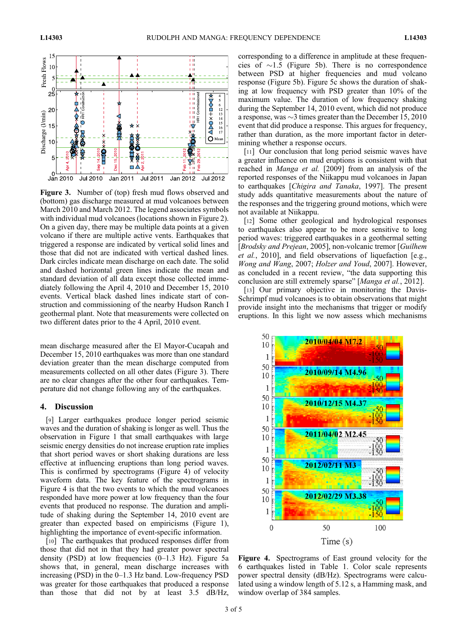

Figure 3. Number of (top) fresh mud flows observed and (bottom) gas discharge measured at mud volcanoes between March 2010 and March 2012. The legend associates symbols with individual mud volcanoes (locations shown in Figure 2). On a given day, there may be multiple data points at a given volcano if there are multiple active vents. Earthquakes that triggered a response are indicated by vertical solid lines and those that did not are indicated with vertical dashed lines. Dark circles indicate mean discharge on each date. The solid and dashed horizontal green lines indicate the mean and standard deviation of all data except those collected immediately following the April 4, 2010 and December 15, 2010 events. Vertical black dashed lines indicate start of construction and commissioning of the nearby Hudson Ranch I geothermal plant. Note that measurements were collected on two different dates prior to the 4 April, 2010 event.

mean discharge measured after the El Mayor-Cucapah and December 15, 2010 earthquakes was more than one standard deviation greater than the mean discharge computed from measurements collected on all other dates (Figure 3). There are no clear changes after the other four earthquakes. Temperature did not change following any of the earthquakes.

#### 4. Discussion

[9] Larger earthquakes produce longer period seismic waves and the duration of shaking is longer as well. Thus the observation in Figure 1 that small earthquakes with large seismic energy densities do not increase eruption rate implies that short period waves or short shaking durations are less effective at influencing eruptions than long period waves. This is confirmed by spectrograms (Figure 4) of velocity waveform data. The key feature of the spectrograms in Figure 4 is that the two events to which the mud volcanoes responded have more power at low frequency than the four events that produced no response. The duration and amplitude of shaking during the September 14, 2010 event are greater than expected based on empiricisms (Figure 1), highlighting the importance of event-specific information.

[10] The earthquakes that produced responses differ from those that did not in that they had greater power spectral density (PSD) at low frequencies  $(0-1.3 \text{ Hz})$ . Figure 5a shows that, in general, mean discharge increases with increasing (PSD) in the 0–1.3 Hz band. Low-frequency PSD was greater for those earthquakes that produced a response than those that did not by at least 3.5 dB/Hz,

corresponding to a difference in amplitude at these frequencies of  $\sim$ 1.5 (Figure 5b). There is no correspondence between PSD at higher frequencies and mud volcano response (Figure 5b). Figure 5c shows the duration of shaking at low frequency with PSD greater than 10% of the maximum value. The duration of low frequency shaking during the September 14, 2010 event, which did not produce a response, was  $\sim$ 3 times greater than the December 15, 2010 event that did produce a response. This argues for frequency, rather than duration, as the more important factor in determining whether a response occurs.

[11] Our conclusion that long period seismic waves have a greater influence on mud eruptions is consistent with that reached in Manga et al. [2009] from an analysis of the reported responses of the Niikappu mud volcanoes in Japan to earthquakes [Chigira and Tanaka, 1997]. The present study adds quantitative measurements about the nature of the responses and the triggering ground motions, which were not available at Niikappu.

[12] Some other geological and hydrological responses to earthquakes also appear to be more sensitive to long period waves: triggered earthquakes in a geothermal setting [Brodsky and Prejean, 2005], non-volcanic tremor [Guilhem] et al., 2010], and field observations of liquefaction [e.g., Wong and Wang, 2007; Holzer and Youd, 2007]. However, as concluded in a recent review, "the data supporting this conclusion are still extremely sparse" [Manga et al., 2012].

[13] Our primary objective in monitoring the Davis-Schrimpf mud volcanoes is to obtain observations that might provide insight into the mechanisms that trigger or modify eruptions. In this light we now assess which mechanisms



Figure 4. Spectrograms of East ground velocity for the 6 earthquakes listed in Table 1. Color scale represents power spectral density (dB/Hz). Spectrograms were calculated using a window length of 5.12 s, a Hamming mask, and window overlap of 384 samples.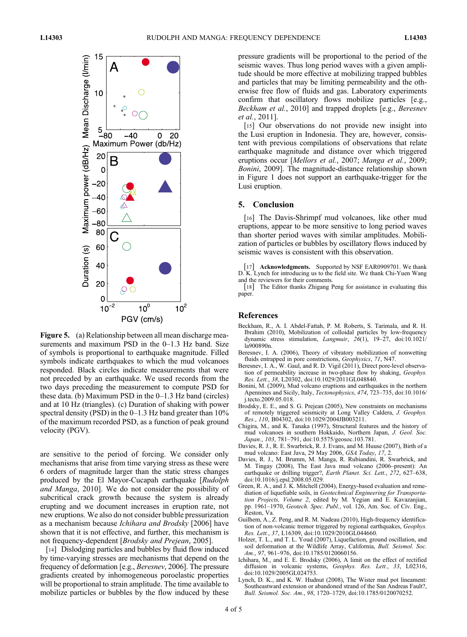

Figure 5. (a) Relationship between all mean discharge measurements and maximum PSD in the 0-1.3 Hz band. Size of symbols is proportional to earthquake magnitude. Filled symbols indicate earthquakes to which the mud volcanoes responded. Black circles indicate measurements that were not preceded by an earthquake. We used records from the two days preceding the measurement to compute PSD for these data. (b) Maximum PSD in the 0–1.3 Hz band (circles) and at 10 Hz (triangles). (c) Duration of shaking with power spectral density (PSD) in the  $0-1.3$  Hz band greater than  $10\%$ of the maximum recorded PSD, as a function of peak ground velocity (PGV).

are sensitive to the period of forcing. We consider only mechanisms that arise from time varying stress as these were 6 orders of magnitude larger than the static stress changes produced by the El Mayor-Cucapah earthquake [Rudolph and Manga, 2010]. We do not consider the possibility of subcritical crack growth because the system is already erupting and we document increases in eruption rate, not new eruptions. We also do not consider bubble pressurization as a mechanism because Ichihara and Brodsky [2006] have shown that it is not effective, and further, this mechanism is not frequency-dependent [Brodsky and Prejean, 2005].

[14] Dislodging particles and bubbles by fluid flow induced by time-varying stresses are mechanisms that depend on the frequency of deformation [e.g., Beresnev, 2006]. The pressure gradients created by inhomogeneous poroelastic properties will be proportional to strain amplitude. The time available to mobilize particles or bubbles by the flow induced by these pressure gradients will be proportional to the period of the seismic waves. Thus long period waves with a given amplitude should be more effective at mobilizing trapped bubbles and particles that may be limiting permeability and the otherwise free flow of fluids and gas. Laboratory experiments confirm that oscillatory flows mobilize particles [e.g., Beckham et al., 2010] and trapped droplets [e.g., Beresnev et al., 2011].

[15] Our observations do not provide new insight into the Lusi eruption in Indonesia. They are, however, consistent with previous compilations of observations that relate earthquake magnitude and distance over which triggered eruptions occur [Mellors et al., 2007; Manga et al., 2009; Bonini, 2009]. The magnitude-distance relationship shown in Figure 1 does not support an earthquake-trigger for the Lusi eruption.

#### 5. Conclusion

[16] The Davis-Shrimpf mud volcanoes, like other mud eruptions, appear to be more sensitive to long period waves than shorter period waves with similar amplitudes. Mobilization of particles or bubbles by oscillatory flows induced by seismic waves is consistent with this observation.

[17] Acknowledgments. Supported by NSF EAR0909701. We thank D. K. Lynch for introducing us to the field site. We thank Chi-Yuen Wang and the reviewers for their comments.

[18] The Editor thanks Zhigang Peng for assistance in evaluating this paper.

#### References

- Beckham, R., A. I. Abdel-Fattah, P. M. Roberts, S. Tarimala, and R. H. Ibrahim (2010), Mobilization of colloidal particles by low-frequency dynamic stress stimulation, Langmuir,  $2\overline{6}(1)$ , 19–27, doi:10.1021/ la900890n.
- Beresnev, I. A. (2006), Theory of vibratory mobilization of nonwetting fluids entrapped in pore constrictions, Geophysics, 71, N47.
- Beresnev, I. A., W. Gaul, and R. D. Vigil (2011), Direct pore-level observation of permeability increase in two-phase flow by shaking, Geophys. Res. Lett., 38, L20302, doi:10.1029/2011GL048840.
- Bonini, M. (2009), Mud volcano eruptions and earthquakes in the northern Apennines and Sicily, Italy, Tectonophysics, 474, 723–735, doi:10.1016/ j.tecto.2009.05.018.
- Brodsky, E. E., and S. G. Prejean (2005), New constraints on mechanisms of remotely triggered seismicity at Long Valley Caldera, J. Geophys. Res., 110, B04302, doi:10.1029/2004JB003211.
- Chigira, M., and K. Tanaka (1997), Structural features and the history of mud volcanoes in southern Hokkaido, Northern Japan, J. Geol. Soc. Japan., 103, 781–791, doi:10.5575/geosoc.103.781.
- Davies, R. J., R. E. Swarbrick, R. J. Evans, and M. Huuse (2007), Birth of a mud volcano: East Java, 29 May 2006, GSA Today, 17, 2.
- Davies, R. J., M. Brumm, M. Manga, R. Rubiandini, R. Swarbrick, and M. Tingay (2008), The East Java mud volcano (2006–present): An earthquake or drilling trigger?, Earth Planet. Sci. Lett., 272, 627-638, doi:10.1016/j.epsl.2008.05.029.
- Green, R. A., and J. K. Mitchell (2004), Energy-based evaluation and remediation of liquefiable soils, in Geotechnical Engineering for Transportation Projects, Volume 2, edited by M. Yegian and E. Kavazanjian, pp. 1961–1970, Geotech. Spec. Publ., vol. 126, Am. Soc. of Civ. Eng., Reston, Va.
- Guilhem, A., Z. Peng, and R. M. Nadeau (2010), High-frequency identification of non-volcanic tremor triggered by regional earthquakes, Geophys. Res. Lett., 37, L16309, doi:10.1029/2010GL044660.
- Holzer, T. L., and T. L. Youd (2007), Liquefaction, ground oscillation, and soil deformation at the Wildlife Array, California, Bull. Seismol. Soc. Am., 97, 961–976, doi:10.1785/0120060156.
- Ichihara, M., and E. E. Brodsky (2006), A limit on the effect of rectified diffusion in volcanic systems, Geophys. Res. Lett., 33, L02316, doi:10.1029/2005GL024753.
- Lynch, D. K., and K. W. Hudnut (2008), The Wister mud pot lineament: Southeastward extension or abandoned strand of the San Andreas Fault?, Bull. Seismol. Soc. Am., 98, 1720–1729, doi:10.1785/0120070252.